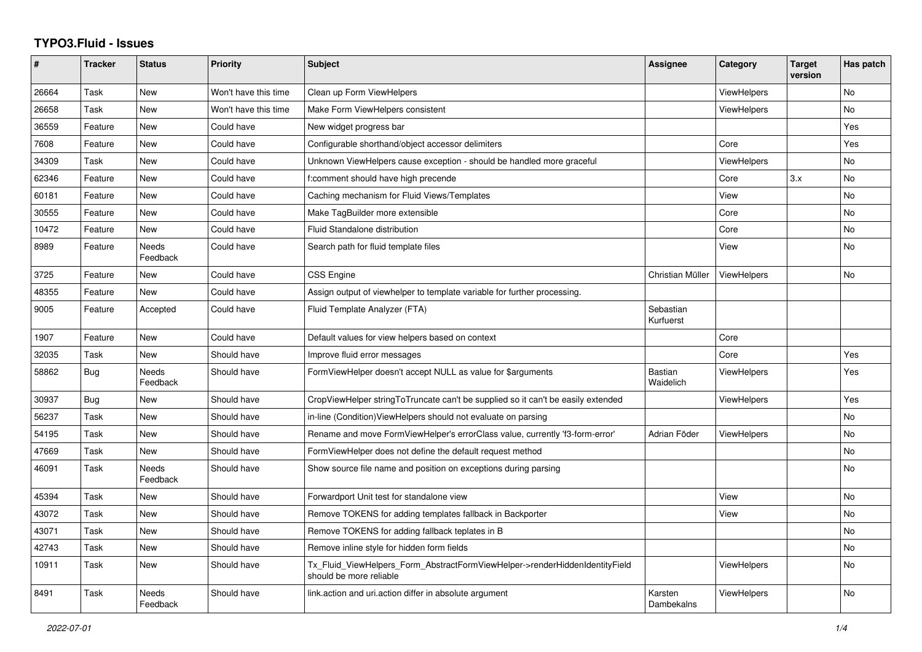## **TYPO3.Fluid - Issues**

| #     | <b>Tracker</b> | <b>Status</b>     | <b>Priority</b>      | <b>Subject</b>                                                                                         | Assignee                    | Category           | <b>Target</b><br>version | Has patch |
|-------|----------------|-------------------|----------------------|--------------------------------------------------------------------------------------------------------|-----------------------------|--------------------|--------------------------|-----------|
| 26664 | Task           | <b>New</b>        | Won't have this time | Clean up Form ViewHelpers                                                                              |                             | ViewHelpers        |                          | <b>No</b> |
| 26658 | Task           | New               | Won't have this time | Make Form ViewHelpers consistent                                                                       |                             | <b>ViewHelpers</b> |                          | <b>No</b> |
| 36559 | Feature        | New               | Could have           | New widget progress bar                                                                                |                             |                    |                          | Yes       |
| 7608  | Feature        | New               | Could have           | Configurable shorthand/object accessor delimiters                                                      |                             | Core               |                          | Yes       |
| 34309 | Task           | <b>New</b>        | Could have           | Unknown ViewHelpers cause exception - should be handled more graceful                                  |                             | <b>ViewHelpers</b> |                          | <b>No</b> |
| 62346 | Feature        | New               | Could have           | f:comment should have high precende                                                                    |                             | Core               | 3.x                      | <b>No</b> |
| 60181 | Feature        | New               | Could have           | Caching mechanism for Fluid Views/Templates                                                            |                             | View               |                          | No        |
| 30555 | Feature        | New               | Could have           | Make TagBuilder more extensible                                                                        |                             | Core               |                          | No        |
| 10472 | Feature        | <b>New</b>        | Could have           | <b>Fluid Standalone distribution</b>                                                                   |                             | Core               |                          | <b>No</b> |
| 8989  | Feature        | Needs<br>Feedback | Could have           | Search path for fluid template files                                                                   |                             | View               |                          | <b>No</b> |
| 3725  | Feature        | New               | Could have           | <b>CSS Engine</b>                                                                                      | Christian Müller            | <b>ViewHelpers</b> |                          | No        |
| 48355 | Feature        | New               | Could have           | Assign output of viewhelper to template variable for further processing.                               |                             |                    |                          |           |
| 9005  | Feature        | Accepted          | Could have           | Fluid Template Analyzer (FTA)                                                                          | Sebastian<br>Kurfuerst      |                    |                          |           |
| 1907  | Feature        | <b>New</b>        | Could have           | Default values for view helpers based on context                                                       |                             | Core               |                          |           |
| 32035 | Task           | New               | Should have          | Improve fluid error messages                                                                           |                             | Core               |                          | Yes       |
| 58862 | Bug            | Needs<br>Feedback | Should have          | FormViewHelper doesn't accept NULL as value for \$arguments                                            | <b>Bastian</b><br>Waidelich | <b>ViewHelpers</b> |                          | Yes       |
| 30937 | <b>Bug</b>     | New               | Should have          | CropViewHelper stringToTruncate can't be supplied so it can't be easily extended                       |                             | <b>ViewHelpers</b> |                          | Yes       |
| 56237 | Task           | New               | Should have          | in-line (Condition) View Helpers should not evaluate on parsing                                        |                             |                    |                          | No        |
| 54195 | Task           | New               | Should have          | Rename and move FormViewHelper's errorClass value, currently 'f3-form-error'                           | Adrian Föder                | ViewHelpers        |                          | No        |
| 47669 | Task           | New               | Should have          | FormViewHelper does not define the default request method                                              |                             |                    |                          | No        |
| 46091 | Task           | Needs<br>Feedback | Should have          | Show source file name and position on exceptions during parsing                                        |                             |                    |                          | <b>No</b> |
| 45394 | Task           | New               | Should have          | Forwardport Unit test for standalone view                                                              |                             | View               |                          | <b>No</b> |
| 43072 | Task           | New               | Should have          | Remove TOKENS for adding templates fallback in Backporter                                              |                             | View               |                          | <b>No</b> |
| 43071 | Task           | New               | Should have          | Remove TOKENS for adding fallback teplates in B                                                        |                             |                    |                          | <b>No</b> |
| 42743 | Task           | New               | Should have          | Remove inline style for hidden form fields                                                             |                             |                    |                          | No        |
| 10911 | Task           | New               | Should have          | Tx_Fluid_ViewHelpers_Form_AbstractFormViewHelper->renderHiddenIdentityField<br>should be more reliable |                             | <b>ViewHelpers</b> |                          | <b>No</b> |
| 8491  | Task           | Needs<br>Feedback | Should have          | link.action and uri.action differ in absolute argument                                                 | Karsten<br>Dambekalns       | ViewHelpers        |                          | <b>No</b> |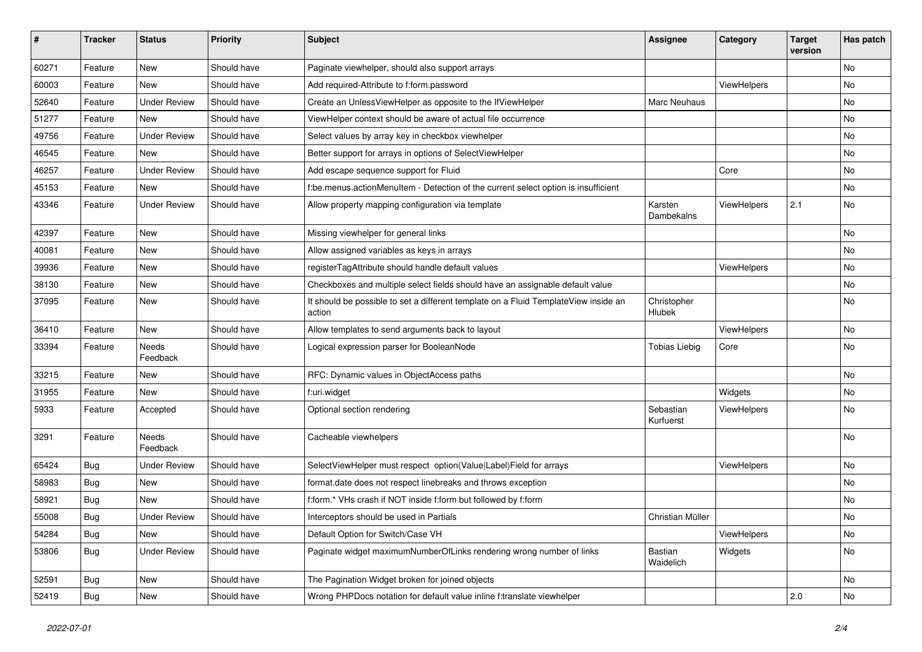| #     | <b>Tracker</b> | <b>Status</b>       | <b>Priority</b> | <b>Subject</b>                                                                                | <b>Assignee</b>        | Category    | <b>Target</b><br>version | Has patch |
|-------|----------------|---------------------|-----------------|-----------------------------------------------------------------------------------------------|------------------------|-------------|--------------------------|-----------|
| 60271 | Feature        | New                 | Should have     | Paginate viewhelper, should also support arrays                                               |                        |             |                          | <b>No</b> |
| 60003 | Feature        | New                 | Should have     | Add required-Attribute to f:form.password                                                     |                        | ViewHelpers |                          | No        |
| 52640 | Feature        | <b>Under Review</b> | Should have     | Create an UnlessViewHelper as opposite to the IfViewHelper                                    | Marc Neuhaus           |             |                          | No        |
| 51277 | Feature        | New                 | Should have     | ViewHelper context should be aware of actual file occurrence                                  |                        |             |                          | No        |
| 49756 | Feature        | <b>Under Review</b> | Should have     | Select values by array key in checkbox viewhelper                                             |                        |             |                          | No        |
| 46545 | Feature        | New                 | Should have     | Better support for arrays in options of SelectViewHelper                                      |                        |             |                          | No        |
| 46257 | Feature        | <b>Under Review</b> | Should have     | Add escape sequence support for Fluid                                                         |                        | Core        |                          | No        |
| 45153 | Feature        | New                 | Should have     | f:be.menus.actionMenuItem - Detection of the current select option is insufficient            |                        |             |                          | No        |
| 43346 | Feature        | <b>Under Review</b> | Should have     | Allow property mapping configuration via template                                             | Karsten<br>Dambekalns  | ViewHelpers | 2.1                      | No        |
| 42397 | Feature        | <b>New</b>          | Should have     | Missing viewhelper for general links                                                          |                        |             |                          | <b>No</b> |
| 40081 | Feature        | New                 | Should have     | Allow assigned variables as keys in arrays                                                    |                        |             |                          | No        |
| 39936 | Feature        | New                 | Should have     | registerTagAttribute should handle default values                                             |                        | ViewHelpers |                          | No        |
| 38130 | Feature        | New                 | Should have     | Checkboxes and multiple select fields should have an assignable default value                 |                        |             |                          | No        |
| 37095 | Feature        | New                 | Should have     | It should be possible to set a different template on a Fluid TemplateView inside an<br>action | Christopher<br>Hlubek  |             |                          | No        |
| 36410 | Feature        | New                 | Should have     | Allow templates to send arguments back to layout                                              |                        | ViewHelpers |                          | <b>No</b> |
| 33394 | Feature        | Needs<br>Feedback   | Should have     | Logical expression parser for BooleanNode                                                     | <b>Tobias Liebig</b>   | Core        |                          | No        |
| 33215 | Feature        | New                 | Should have     | RFC: Dynamic values in ObjectAccess paths                                                     |                        |             |                          | No        |
| 31955 | Feature        | New                 | Should have     | f:uri.widget                                                                                  |                        | Widgets     |                          | No        |
| 5933  | Feature        | Accepted            | Should have     | Optional section rendering                                                                    | Sebastian<br>Kurfuerst | ViewHelpers |                          | No        |
| 3291  | Feature        | Needs<br>Feedback   | Should have     | Cacheable viewhelpers                                                                         |                        |             |                          | No        |
| 65424 | Bug            | <b>Under Review</b> | Should have     | SelectViewHelper must respect option(Value Label)Field for arrays                             |                        | ViewHelpers |                          | No        |
| 58983 | Bug            | New                 | Should have     | format.date does not respect linebreaks and throws exception                                  |                        |             |                          | No        |
| 58921 | Bug            | New                 | Should have     | f:form.* VHs crash if NOT inside f:form but followed by f:form                                |                        |             |                          | No        |
| 55008 | <b>Bug</b>     | <b>Under Review</b> | Should have     | Interceptors should be used in Partials                                                       | Christian Müller       |             |                          | No        |
| 54284 | Bug            | New                 | Should have     | Default Option for Switch/Case VH                                                             |                        | ViewHelpers |                          | No        |
| 53806 | <b>Bug</b>     | <b>Under Review</b> | Should have     | Paginate widget maximumNumberOfLinks rendering wrong number of links                          | Bastian<br>Waidelich   | Widgets     |                          | No        |
| 52591 | <b>Bug</b>     | New                 | Should have     | The Pagination Widget broken for joined objects                                               |                        |             |                          | No        |
| 52419 | <b>Bug</b>     | New                 | Should have     | Wrong PHPDocs notation for default value inline f:translate viewhelper                        |                        |             | 2.0                      | No        |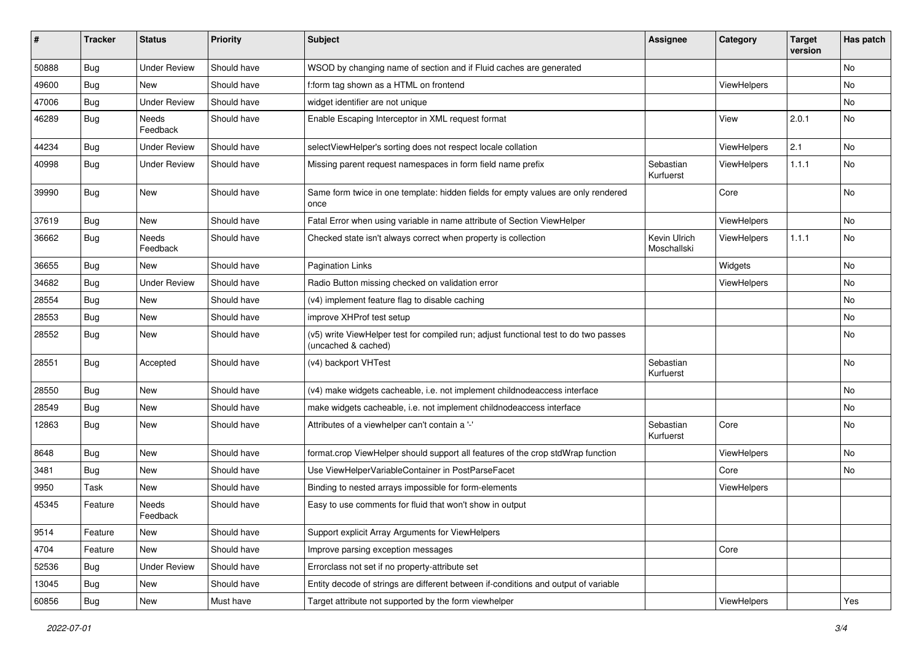| ∦     | <b>Tracker</b> | <b>Status</b>            | <b>Priority</b> | <b>Subject</b>                                                                                              | <b>Assignee</b>             | Category           | <b>Target</b><br>version | Has patch |
|-------|----------------|--------------------------|-----------------|-------------------------------------------------------------------------------------------------------------|-----------------------------|--------------------|--------------------------|-----------|
| 50888 | Bug            | <b>Under Review</b>      | Should have     | WSOD by changing name of section and if Fluid caches are generated                                          |                             |                    |                          | No        |
| 49600 | Bug            | New                      | Should have     | f:form tag shown as a HTML on frontend                                                                      |                             | <b>ViewHelpers</b> |                          | No        |
| 47006 | <b>Bug</b>     | <b>Under Review</b>      | Should have     | widget identifier are not unique                                                                            |                             |                    |                          | No        |
| 46289 | Bug            | <b>Needs</b><br>Feedback | Should have     | Enable Escaping Interceptor in XML request format                                                           |                             | View               | 2.0.1                    | <b>No</b> |
| 44234 | Bug            | <b>Under Review</b>      | Should have     | selectViewHelper's sorting does not respect locale collation                                                |                             | ViewHelpers        | 2.1                      | No        |
| 40998 | Bug            | <b>Under Review</b>      | Should have     | Missing parent request namespaces in form field name prefix                                                 | Sebastian<br>Kurfuerst      | ViewHelpers        | 1.1.1                    | No        |
| 39990 | <b>Bug</b>     | New                      | Should have     | Same form twice in one template: hidden fields for empty values are only rendered<br>once                   |                             | Core               |                          | No        |
| 37619 | Bug            | New                      | Should have     | Fatal Error when using variable in name attribute of Section ViewHelper                                     |                             | ViewHelpers        |                          | No.       |
| 36662 | Bug            | <b>Needs</b><br>Feedback | Should have     | Checked state isn't always correct when property is collection                                              | Kevin Ulrich<br>Moschallski | ViewHelpers        | 1.1.1                    | No        |
| 36655 | Bug            | New                      | Should have     | <b>Pagination Links</b>                                                                                     |                             | Widgets            |                          | No        |
| 34682 | Bug            | <b>Under Review</b>      | Should have     | Radio Button missing checked on validation error                                                            |                             | <b>ViewHelpers</b> |                          | No        |
| 28554 | Bug            | New                      | Should have     | (v4) implement feature flag to disable caching                                                              |                             |                    |                          | No        |
| 28553 | Bug            | New                      | Should have     | improve XHProf test setup                                                                                   |                             |                    |                          | No        |
| 28552 | Bug            | New                      | Should have     | (v5) write ViewHelper test for compiled run; adjust functional test to do two passes<br>(uncached & cached) |                             |                    |                          | No        |
| 28551 | <b>Bug</b>     | Accepted                 | Should have     | (v4) backport VHTest                                                                                        | Sebastian<br>Kurfuerst      |                    |                          | No        |
| 28550 | Bug            | New                      | Should have     | (v4) make widgets cacheable, i.e. not implement childnodeaccess interface                                   |                             |                    |                          | No.       |
| 28549 | Bug            | New                      | Should have     | make widgets cacheable, i.e. not implement childnodeaccess interface                                        |                             |                    |                          | No        |
| 12863 | <b>Bug</b>     | New                      | Should have     | Attributes of a viewhelper can't contain a '-'                                                              | Sebastian<br>Kurfuerst      | Core               |                          | No        |
| 8648  | Bug            | New                      | Should have     | format.crop ViewHelper should support all features of the crop stdWrap function                             |                             | ViewHelpers        |                          | No        |
| 3481  | Bug            | New                      | Should have     | Use ViewHelperVariableContainer in PostParseFacet                                                           |                             | Core               |                          | No        |
| 9950  | Task           | New                      | Should have     | Binding to nested arrays impossible for form-elements                                                       |                             | ViewHelpers        |                          |           |
| 45345 | Feature        | Needs<br>Feedback        | Should have     | Easy to use comments for fluid that won't show in output                                                    |                             |                    |                          |           |
| 9514  | Feature        | New                      | Should have     | Support explicit Array Arguments for ViewHelpers                                                            |                             |                    |                          |           |
| 4704  | Feature        | New                      | Should have     | Improve parsing exception messages                                                                          |                             | Core               |                          |           |
| 52536 | <b>Bug</b>     | <b>Under Review</b>      | Should have     | Errorclass not set if no property-attribute set                                                             |                             |                    |                          |           |
| 13045 | <b>Bug</b>     | New                      | Should have     | Entity decode of strings are different between if-conditions and output of variable                         |                             |                    |                          |           |
| 60856 | Bug            | New                      | Must have       | Target attribute not supported by the form viewhelper                                                       |                             | ViewHelpers        |                          | Yes       |